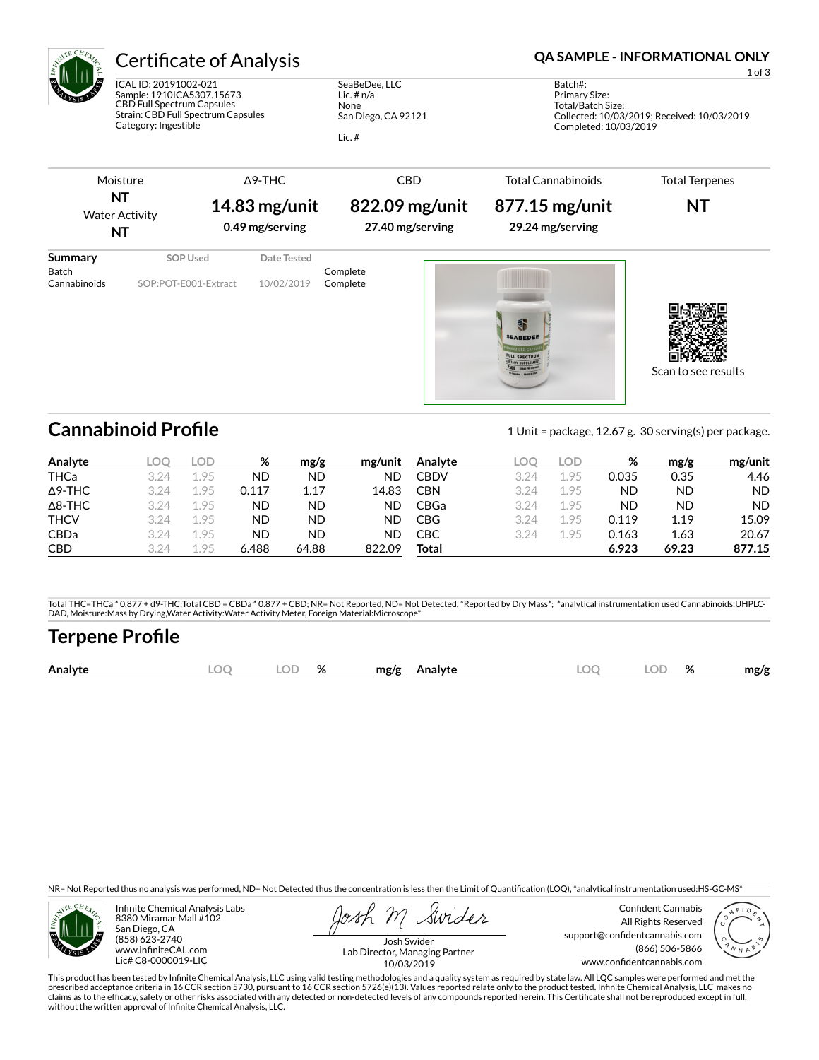

# Certificate of Analysis **Certificate of Analysis QA SAMPLE - INFORMATIONAL ONLY**

ICAL ID: 20191002-021 Sample: 1910ICA5307.15673 CBD Full Spectrum Capsules Strain: CBD Full Spectrum Capsules Category: Ingestible

SeaBeDee, LLC Lic. # n/a None San Diego, CA 92121

Lic. #

1 of 3

Batch#: Primary Size: Total/Batch Size: Collected: 10/03/2019; Received: 10/03/2019 Completed: 10/03/2019

#### Moisture **NT** Water Activity **NT** Δ9-THC **14.83 mg/unit 0.49 mg/serving** CBD **822.09 mg/unit 27.40 mg/serving** Total Cannabinoids **877.15 mg/unit 29.24 mg/serving** Total Terpenes **NT Summary SOP Used** Date Tested Batch Complete<br>Cannabinoids SOP:POT-E001-Extract 10/02/2019 Complete SOP:POT-E001-Extract 10/02/2019 Complete

**Cannabinoid Profile** 1 Unit = package, 12.67 g. 30 serving(s) per package.

EABEDE

Scan to see results

| Analyte        |      | LOD  | %     | mg/g      | mg/unit | Analyte    |      | LOD. | %         | mg/g      | mg/unit   |
|----------------|------|------|-------|-----------|---------|------------|------|------|-----------|-----------|-----------|
| <b>THCa</b>    | 3 24 | .95  | ND    | <b>ND</b> | ND      | CBDV       | 3.24 | 1.95 | 0.035     | 0.35      | 4.46      |
| $\Delta$ 9-THC | 3 24 | -95  | 0.117 | 1.17      | 14.83   | <b>CBN</b> | 3.24 | 1.95 | <b>ND</b> | <b>ND</b> | <b>ND</b> |
| $\Delta$ 8-THC | 3 24 | 1.95 | ND    | ND        | ND      | CBGa       | 3.24 | 1.95 | <b>ND</b> | <b>ND</b> | <b>ND</b> |
| <b>THCV</b>    | 3 24 | 1.95 | ND    | ND        | ND      | CBG        | 3.24 | 1.95 | 0.119     | 1.19      | 15.09     |
| <b>CBDa</b>    | 3.24 | 1.95 | ND    | <b>ND</b> | ND      | СВС        | 3.24 | 1.95 | 0.163     | 1.63      | 20.67     |
| <b>CBD</b>     | 324  | 95   | 6.488 | 64.88     | 822.09  | Total      |      |      | 6.923     | 69.23     | 877.15    |

Total THC=THCa \* 0.877 + d9-THC;Total CBD = CBDa \* 0.877 + CBD; NR= Not Reported, ND= Not Detected, \*Reported by Dry Mass\*; \*analytical instrumentation used Cannabinoids:UHPLC-DAD, Moisture:Mass by Drying,Water Activity:Water Activity Meter, Foreign Material:Microscope\*

## **Terpene Profile**

| Analy | ΩF | $\mathbf{a}$<br>70 | mø/s |  | λľ | 07<br>$70^{\circ}$ | .no/o |
|-------|----|--------------------|------|--|----|--------------------|-------|
|       |    |                    |      |  |    |                    |       |

NR= Not Reported thus no analysis was performed, ND= Not Detected thus the concentration is less then the Limit of Quantification (LOQ), \*analytical instrumentation used:HS-GC-MS\*



Infinite Chemical Analysis Labs 8380 Miramar Mall #102 San Diego, CA (858) 623-2740 www.infiniteCAL.com Lic# C8-0000019-LIC

Swides

Confident Cannabis All Rights Reserved support@confidentcannabis.com (866) 506-5866 www.confidentcannabis.com



Josh Swider Lab Director, Managing Partner 10/03/2019

This product has been tested by Infinite Chemical Analysis, LLC using valid testing methodologies and a quality system as required by state law. All LQC samples were performed and met the prescribed acceptance criteria in 16 CCR section 5730, pursuant to 16 CCR section 5726(e)(13). Values reported relate only to the product tested. Infinite Chemical Analysis, LLC makes no<br>claims as to the efficacy, safety o without the written approval of Infinite Chemical Analysis, LLC.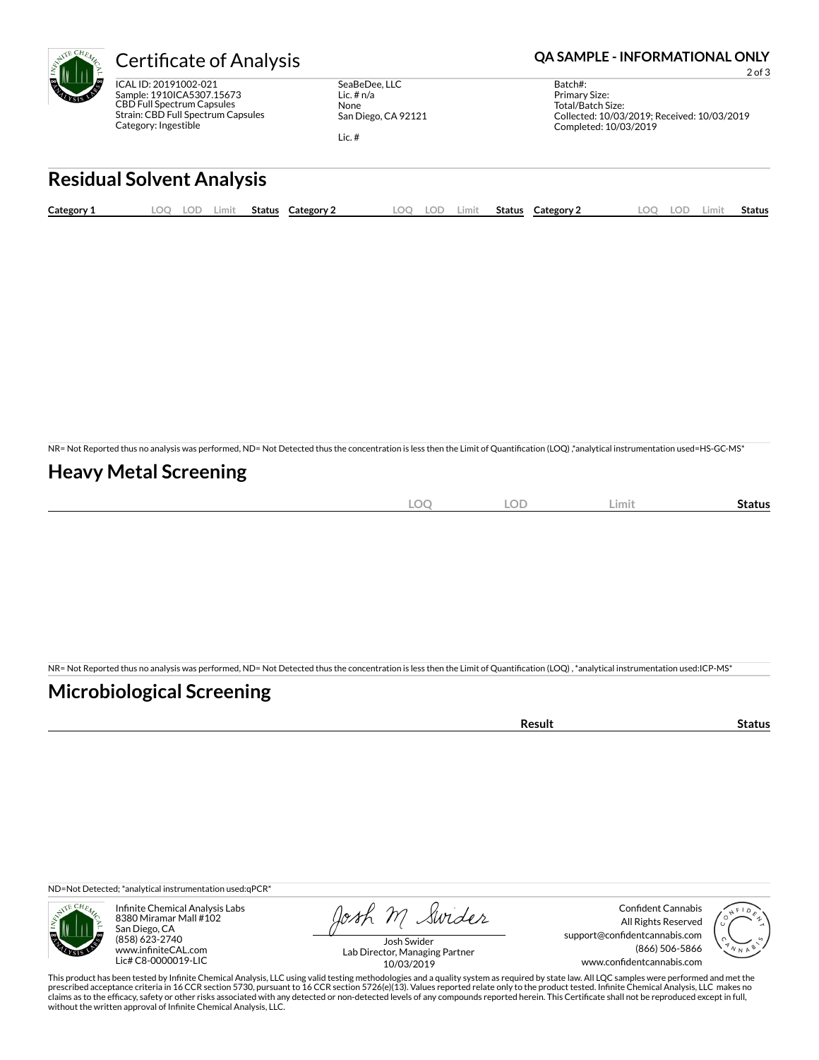

ICAL ID: 20191002-021 Sample: 1910ICA5307.15673 CBD Full Spectrum Capsules Strain: CBD Full Spectrum Capsules Category: Ingestible

SeaBeDee, LLC Lic. # n/a None San Diego, CA 92121

Lic. #

### Certificate of Analysis **Certificate of Analysis QA SAMPLE - INFORMATIONAL ONLY**

2 of 3

Batch#: Primary Size: Total/Batch Size: Collected: 10/03/2019; Received: 10/03/2019 Completed: 10/03/2019

# **Residual Solvent Analysis**

| Category: | OO. | .OF | Limit | Status | ⊂ategory <sup>~</sup> | ററ | <b>LOF</b> | Limit. | <b>Status</b> | Category 2 | LOC | LOF. | Limi. | Status |
|-----------|-----|-----|-------|--------|-----------------------|----|------------|--------|---------------|------------|-----|------|-------|--------|
|           |     |     |       |        |                       |    |            |        |               |            |     |      |       |        |

NR= Not Reported thus no analysis was performed, ND= Not Detected thus the concentration is less then the Limit of Quantification (LOQ),\*analytical instrumentation used=HS-GC-MS\*

## **Heavy Metal Screening**

|  | $\sim$<br>-<br>∽<br>$\sim$ | <b>LOF</b> | Limit | Status |
|--|----------------------------|------------|-------|--------|
|--|----------------------------|------------|-------|--------|

NR= Not Reported thus no analysis was performed, ND= Not Detected thus the concentration is less then the Limit of Quantification (LOQ), \*analytical instrumentation used:ICP-MS\*

## **Microbiological Screening**

| `≏sult |
|--------|
|--------|

ND=Not Detected; \*analytical instrumentation used:qPCR\*



Infinite Chemical Analysis Labs 8380 Miramar Mall #102 San Diego, CA (858) 623-2740 www.infiniteCAL.com Lic# C8-0000019-LIC

Josh M Swider

Confident Cannabis All Rights Reserved support@confidentcannabis.com (866) 506-5866 www.confidentcannabis.com



Josh Swider Lab Director, Managing Partner 10/03/2019

This product has been tested by Infinite Chemical Analysis, LLC using valid testing methodologies and a quality system as required by state law. All LQC samples were performed and met the prescribed acceptance criteria in 16 CCR section 5730, pursuant to 16 CCR section 5726(e)(13). Values reported relate only to the product tested. Infinite Chemical Analysis, LLC makes no<br>claims as to the efficacy, safety o without the written approval of Infinite Chemical Analysis, LLC.